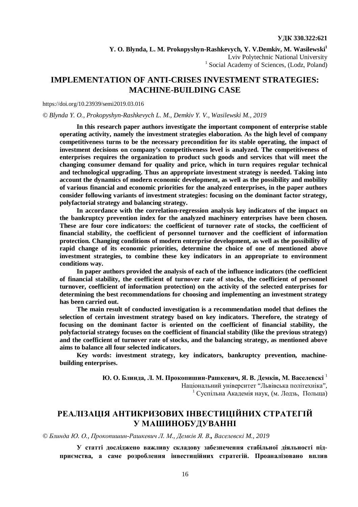<sup>1</sup> Social Academy of Sciences, (Lodz, Poland)

## **IMPLEMENTATION OF ANTI-CRISES INVESTMENT STRATEGIES: MACHINE-BUILDING CASE**

## https://doi.org/10.23939/semi2019.03.016

## *© Blynda Y. O., Prokopyshyn-Rashkevych L. M., Demkiv Y. V., Wasilewski M., 2019*

**In this research paper authors investigate the important component of enterprise stable operating activity, namely the investment strategies elaboration. As the high level of company competitiveness turns to be the necessary precondition for its stable operating, the impact of investment decisions on company's competitiveness level is analyzed. The competitiveness of enterprises requires the organization to product such goods and services that will meet the changing consumer demand for quality and price, which in turn requires regular technical and technological upgrading. Thus an appropriate investment strategy is needed. Taking into account the dynamics of modern economic development, as well as the possibility and mobility of various financial and economic priorities for the analyzed enterprises, in the paper authors consider following variants of investment strategies: focusing on the dominant factor strategy, polyfactorial strategy and balancing strategy.** 

**In accordance with the correlation-regression analysis key indicators of the impact on the bankruptcy prevention index for the analyzed machinery enterprises have been chosen. These are four core indicators: the coefficient of turnover rate of stocks, the coefficient of financial stability, the coefficient of personnel turnover and the coefficient of information protection. Changing conditions of modern enterprise development, as well as the possibility of rapid change of its economic priorities, determine the choice of one of mentioned above investment strategies, to combine these key indicators in an appropriate to environment conditions way.** 

**In paper authors provided the analysis of each of the influence indicators (the coefficient of financial stability, the coefficient of turnover rate of stocks, the coefficient of personnel turnover, coefficient of information protection) on the activity of the selected enterprises for determining the best recommendations for choosing and implementing an investment strategy has been carried out.** 

**The main result of conducted investigation is a recommendation model that defines the selection of certain investment strategy based on key indicators. Therefore, the strategy of focusing on the dominant factor is oriented on the coefficient of financial stability, the polyfactorial strategy focuses on the coefficient of financial stability (like the previous strategy) and the coefficient of turnover rate of stocks, and the balancing strategy, as mentioned above aims to balance all four selected indicators.** 

**Key words: investment strategy, key indicators, bankruptcy prevention, machinebuilding enterprises.** 

Ю. О. Блинда, Л. М. Прокопишин-Рашкевич, Я. В. Демків, М. Васелевскі

Національний університет "Львівська політехніка",

<sup>1</sup> Суспільна Академія наук, (м. Лодзь, Польща)

# **РЕАЛІЗАЦІЯ АНТИКРИЗОВИХ ІНВЕСТИЦІЙНИХ СТРАТЕГІЙ У МАШИНОБУДУВАННІ**

© Блинда Ю. О., Прокопишин-Рашкевич Л. М., Лемків Я. В., Васелевскі М., 2019

**У статті досліджено важливу складову забезпечення стабільної діяльності підприємства, а саме розроблення інвестиційних стратегій. Проаналізовано вплив**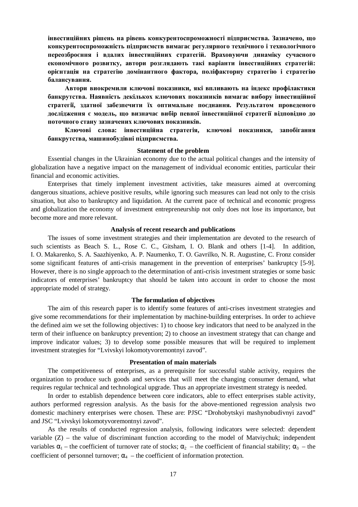**інвестиційних рішень на рівень конкурентоспроможності підприємства. Зазначено, що конкурентоспроможність підприємств вимагає регулярного технічного і технологічного переозброєння і вдалих інвестиційних стратегій. Враховуючи динаміку сучасного економічного розвитку, автори розглядають такі варіанти інвестиційних стратегій: орієнтація на стратегію домінантного фактора, поліфакторну стратегію і стратегію балансування.** 

**Автори виокремили ключові показники, які впливають на індекс профілактики банкрутства. Наявність декількох ключових показників вимагає вибору інвестиційної стратегії, здатної забезпечити їх оптимальне поєднання. Результатом проведеного дослідження є модель, що визначає вибір певної інвестиційної стратегії відповідно до поточного стану зазначених ключових показників.** 

## **Ключові слова: інвестиційна стратегія, ключові показники, запобігання банкрутства, машинобудівні підприємства.**

#### **Statement of the problem**

Essential changes in the Ukrainian economy due to the actual political changes and the intensity of globalization have a negative impact on the management of individual economic entities, particular their financial and economic activities.

Enterprises that timely implement investment activities, take measures aimed at overcoming dangerous situations, achieve positive results, while ignoring such measures can lead not only to the crisis situation, but also to bankruptcy and liquidation. At the current pace of technical and economic progress and globalization the economy of investment entrepreneurship not only does not lose its importance, but become more and more relevant.

#### **Analysis of recent research and publications**

The issues of some investment strategies and their implementation are devoted to the research of such scientists as Beach S. L., Rose C. C., Gitsham, I. O. Blank and others [1-4]. In addition, I. O. Makarenko, S. A. Saazhiyenko, A. P. Naumenko, T. O. Gavrilko, N. R. Augustine, C. Fronz consider some significant features of anti-crisis management in the prevention of enterprises' bankruptcy [5-9]. However, there is no single approach to the determination of anti-crisis investment strategies or some basic indicators of enterprises' bankruptcy that should be taken into account in order to choose the most appropriate model of strategy.

## **The formulation of objectives**

The aim of this research paper is to identify some features of anti-crises investment strategies and give some recommendations for their implementation by machine-building enterprises. In order to achieve the defined aim we set the following objectives: 1) to choose key indicators that need to be analyzed in the term of their influence on bankruptcy prevention; 2) to choose an investment strategy that can change and improve indicator values; 3) to develop some possible measures that will be required to implement investment strategies for "Lvivskyi lokomotyvoremontnyi zavod".

#### **Presentation of main materials**

The competitiveness of enterprises, as a prerequisite for successful stable activity, requires the organization to produce such goods and services that will meet the changing consumer demand, what requires regular technical and technological upgrade. Thus an appropriate investment strategy is needed.

In order to establish dependence between core indicators, able to effect enterprises stable activity, authors performed regression analysis. As the basis for the above-mentioned regression analysis two domestic machinery enterprises were chosen. These are: PJSC "Drohobytskyi mashynobudivnyi zavod" and JSC "Lvivskyi lokomotyvoremontnyi zavod".

As the results of conducted regression analysis, following indicators were selected: dependent variable (Z) – the value of discriminant function according to the model of Matviychuk; independent variables  $\alpha_1$  – the coefficient of turnover rate of stocks;  $\alpha_2$  – the coefficient of financial stability;  $\alpha_3$  – the coefficient of personnel turnover;  $\alpha_4$  – the coefficient of information protection.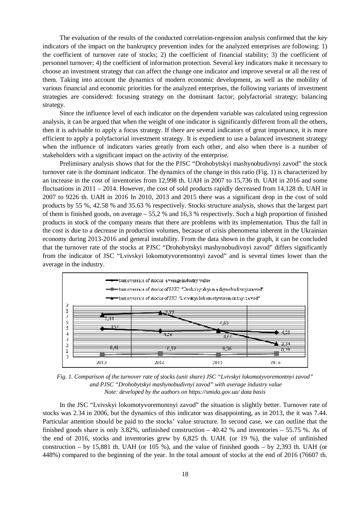The evaluation of the results of the conducted correlation-regression analysis confirmed that the key indicators of the impact on the bankruptcy prevention index for the analyzed enterprises are following: 1) the coefficient of turnover rate of stocks; 2) the coefficient of financial stability; 3) the coefficient of personnel turnover; 4) the coefficient of information protection. Several key indicators make it necessary to choose an investment strategy that can affect the change one indicator and improve several or all the rest of them. Taking into account the dynamics of modern economic development, as well as the mobility of various financial and economic priorities for the analyzed enterprises, the following variants of investment strategies are considered: focusing strategy on the dominant factor; polyfactorial strategy; balancing strategy.

Since the influence level of each indicator on the dependent variable was calculated using regression analysis, it can be argued that when the weight of one indicator is significantly different from all the others, then it is advisable to apply a focus strategy. If there are several indicators of great importance, it is more efficient to apply a polyfactorial investment strategy. It is expedient to use a balanced investment strategy when the influence of indicators varies greatly from each other, and also when there is a number of stakeholders with a significant impact on the activity of the enterprise.

Preliminary analysis shows that for the the PJSC "Drohobytskyi mashynobudivnyi zavod" the stock turnover rate is the dominant indicator. The dynamics of the change in this ratio (Fig. 1) is characterized by an increase in the cost of inventories from 12,998 th. UAH in 2007 to 15,736 th. UAH in 2016 and some fluctuations in 2011 – 2014. However, the cost of sold products rapidly decreased from 14,128 th. UAH in 2007 to 9226 th. UAH in 2016 In 2010, 2013 and 2015 there was a significant drop in the cost of sold products by 55 %, 42.58 % and 35.63 % respectively. Stocks structure analysis, shows that the largest part of them is finished goods, on average – 55,2 % and 16,3 % respectively. Such a high proportion of finished products in stock of the company means that there are problems with its implementation. Thus the fall in the cost is due to a decrease in production volumes, because of crisis phenomena inherent in the Ukrainian economy during 2013-2016 and general instability. From the data shown in the graph, it can be concluded that the turnover rate of the stocks at PJSC "Drohobytskyi mashynobudivnyi zavod" differs significantly from the indicator of JSC "Lvivskyi lokomotyvoremontnyi zavod" and is several times lower than the average in the industry.



*Fig. 1. Comparison of the turnover rate of stocks (unit share) JSC "Lvivskyi lokomotyvoremontnyi zavod" and PJSC "Drohobytskyi mashynobudivnyi zavod" with average industry value Note: developed by the authors on https://smida.gov.ua/ data basis* 

In the JSC "Lvivskyi lokomotyvoremontnyi zavod" the situation is slightly better. Turnover rate of stocks was 2.34 in 2006, but the dynamics of this indicator was disappointing, as in 2013, the it was 7.44. Particular attention should be paid to the stocks' value structure. In second case, we can outline that the finished goods share is only 3.82%, unfinished construction – 40.42 % and inventories – 55.75 %. As of the end of 2016, stocks and inventories grew by 6,825 th. UAH. (or 19 %), the value of unfinished construction – by 15,881 th. UAH (or 105 %), and the value of finished goods – by 2,393 th. UAH (or 448%) compared to the beginning of the year. In the total amount of stocks at the end of 2016 (76607 th.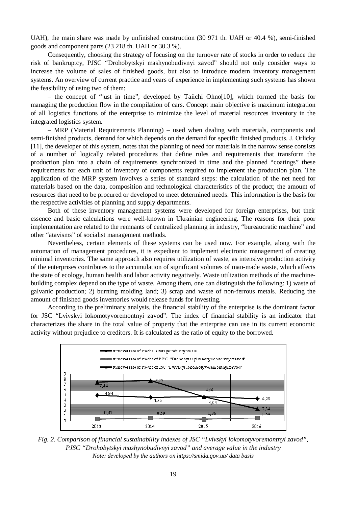UAH), the main share was made by unfinished construction (30 971 th. UAH or 40.4 %), semi-finished goods and component parts (23 218 th. UAH or 30.3 %).

Consequently, choosing the strategy of focusing on the turnover rate of stocks in order to reduce the risk of bankruptcy, PJSC "Drohobytskyi mashynobudivnyi zavod" should not only consider ways to increase the volume of sales of finished goods, but also to introduce modern inventory management systems. An overview of current practice and years of experience in implementing such systems has shown the feasibility of using two of them:

– the concept of "just in time", developed by Taiichi Ohno[10], which formed the basis for managing the production flow in the compilation of cars. Сoncept main objective is maximum integration of all logistics functions of the enterprise to minimize the level of material resources inventory in the integrated logistics system.

– MRP (Material Requirements Planning) – used when dealing with materials, components and semi-finished products, demand for which depends on the demand for specific finished products. J. Orlicky [11], the developer of this system, notes that the planning of need for materials in the narrow sense consists of a number of logically related procedures that define rules and requirements that transform the production plan into a chain of requirements synchronized in time and the planned "coatings" these requirements for each unit of inventory of components required to implement the production plan. The application of the MRP system involves a series of standard steps: the calculation of the net need for materials based on the data, composition and technological characteristics of the product; the amount of resources that need to be procured or developed to meet determined needs. This information is the basis for the respective activities of planning and supply departments.

Both of these inventory management systems were developed for foreign enterprises, but their essence and basic calculations were well-known in Ukrainian engineering. The reasons for their poor implementation are related to the remnants of centralized planning in industry, "bureaucratic machine" and other "atavisms" of socialist management methods.

Nevertheless, certain elements of these systems can be used now. For example, along with the automation of management procedures, it is expedient to implement electronic management of creating minimal inventories. The same approach also requires utilization of waste, as intensive production activity of the enterprises contributes to the accumulation of significant volumes of man-made waste, which affects the state of ecology, human health and labor activity negatively. Waste utilization methods of the machinebuilding complex depend on the type of waste. Among them, one can distinguish the following: 1) waste of galvanic production; 2) burning molding land; 3) scrap and waste of non-ferrous metals. Reducing the amount of finished goods inventories would release funds for investing.

According to the preliminary analysis, the financial stability of the enterprise is the dominant factor for JSC "Lvivskyi lokomotyvoremontnyi zavod". The index of financial stability is an indicator that characterizes the share in the total value of property that the enterprise can use in its current economic activity without prejudice to creditors. It is calculated as the ratio of equity to the borrowed.



*Fig. 2. Comparison of financial sustainability indexes of JSC "Lvivskyi lokomotyvoremontnyi zavod", PJSC "Drohobytskyi mashynobudivnyi zavod" and average value in the industry Note: developed by the authors on https://smida.gov.ua/ data basis*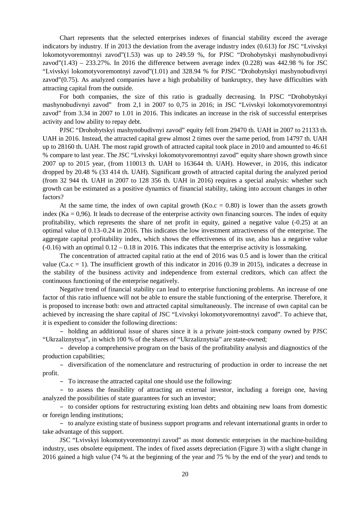Chart represents that the selected enterprises indexes of financial stability exceed the average indicators by industry. If in 2013 the deviation from the average industry index (0.613) for JSC "Lvivskyi lokomotyvoremontnyi zavod"(1.53) was up to 249.59 %, for PJSC "Drohobytskyi mashynobudivnyi zavod" $(1.43)$  – 233.27%. In 2016 the difference between average index  $(0.228)$  was 442.98 % for JSC "Lvivskyi lokomotyvoremontnyi zavod"(1.01) and 328.94 % for PJSC "Drohobytskyi mashynobudivnyi zavod"(0.75). As analyzed companies have a high probability of bankruptcy, they have difficulties with attracting capital from the outside.

For both companies, the size of this ratio is gradually decreasing. In PJSC "Drohobytskyi mashynobudivnyi zavod" from 2,1 in 2007 to 0,75 in 2016; in JSC "Lvivskyi lokomotyvoremontnyi zavod" from 3.34 in 2007 to 1.01 in 2016. This indicates an increase in the risk of successful enterprises activity and low ability to repay debt.

PJSC "Drohobytskyi mashynobudivnyi zavod" equity fell from 29470 th. UAH in 2007 to 21133 th. UAH in 2016. Instead, the attracted capital grew almost 2 times over the same period, from 14797 th. UAH up to 28160 th. UAH. The most rapid growth of attracted capital took place in 2010 and amounted to 46.61 % compare to last year. The JSC "Lvivskyi lokomotyvoremontnyi zavod" equity share shown growth since 2007 up to 2015 year, (from 110013 th. UAH to 163644 th. UAH). However, in 2016, this indicator dropped by 20.48 % (33 414 th. UAH). Significant growth of attracted capital during the analyzed period (from 32 944 th. UAH in 2007 to 128 356 th. UAH in 2016) requires a special analysis: whether such growth can be estimated as a positive dynamics of financial stability, taking into account changes in other factors?

At the same time, the index of own capital growth  $(Ko.c = 0.80)$  is lower than the assets growth index ( $Ka = 0.96$ ). It leads to decrease of the enterprise activity own financing sources. The index of equity profitability, which represents the share of net profit in equity, gained a negative value (-0.25) at an optimal value of 0.13–0.24 in 2016. This indicates the low investment attractiveness of the enterprise. The aggregate capital profitability index, which shows the effectiveness of its use, also has a negative value  $(-0.16)$  with an optimal  $0.12 - 0.18$  in 2016. This indicates that the enterprise activity is lossmaking.

The concentration of attracted capital ratio at the end of 2016 was 0.5 and is lower than the critical value (Ca.c = 1). The insufficient growth of this indicator in 2016 (0.39 in 2015), indicates a decrease in the stability of the business activity and independence from external creditors, which can affect the continuous functioning of the enterprise negatively.

Negative trend of financial stability can lead to enterprise functioning problems. An increase of one factor of this ratio influence will not be able to ensure the stable functioning of the enterprise. Therefore, it is proposed to increase both: own and attracted capital simultaneously. The increase of own capital can be achieved by increasing the share capital of JSC "Lvivskyi lokomotyvoremontnyi zavod". To achieve that, it is expedient to consider the following directions:

– holding an additional issue of shares since it is a private joint-stock company owned by PJSC "Ukrzaliznytsya", in which 100 % of the shares of "Ukrzaliznytsia" are state-owned;

– develop a comprehensive program on the basis of the profitability analysis and diagnostics of the production capabilities;

– diversification of the nomenclature and restructuring of production in order to increase the net profit.

– To increase the attracted capital one should use the following:

– to assess the feasibility of attracting an external investor, including a foreign one, having analyzed the possibilities of state guarantees for such an investor;

– to consider options for restructuring existing loan debts and obtaining new loans from domestic or foreign lending institutions;

– to analyze existing state of business support programs and relevant international grants in order to take advantage of this support.

JSC "Lvivskyi lokomotyvoremontnyi zavod" as most domestic enterprises in the machine-building industry, uses obsolete equipment. The index of fixed assets depreciation (Figure 3) with a slight change in 2016 gained a high value (74 % at the beginning of the year and 75 % by the end of the year) and tends to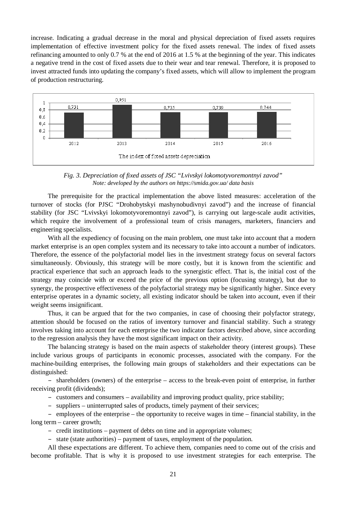increase. Indicating a gradual decrease in the moral and physical depreciation of fixed assets requires implementation of effective investment policy for the fixed assets renewal. The index of fixed assets refinancing amounted to only 0.7 % at the end of 2016 at 1.5 % at the beginning of the year. This indicates a negative trend in the cost of fixed assets due to their wear and tear renewal. Therefore, it is proposed to invest attracted funds into updating the company's fixed assets, which will allow to implement the program of production restructuring.



*Fig. 3. Depreciation of fixed assets of JSC "Lvivskyi lokomotyvoremontnyi zavod" Note: developed by the authors on https://smida.gov.ua/ data basis* 

The prerequisite for the practical implementation the above listed measures: acceleration of the turnover of stocks (for PJSC "Drohobytskyi mashynobudivnyi zavod") and the increase of financial stability (for JSC "Lvivskyi lokomotyvoremontnyi zavod"), is carrying out large-scale audit activities, which require the involvement of a professional team of crisis managers, marketers, financiers and engineering specialists.

With all the expediency of focusing on the main problem, one must take into account that a modern market enterprise is an open complex system and its necessary to take into account a number of indicators. Therefore, the essence of the polyfactorial model lies in the investment strategy focus on several factors simultaneously. Obviously, this strategy will be more costly, but it is known from the scientific and practical experience that such an approach leads to the synergistic effect. That is, the initial cost of the strategy may coincide with or exceed the price of the previous option (focusing strategy), but due to synergy, the prospective effectiveness of the polyfactorial strategy may be significantly higher. Since every enterprise operates in a dynamic society, all existing indicator should be taken into account, even if their weight seems insignificant.

Thus, it can be argued that for the two companies, in case of choosing their polyfactor strategy, attention should be focused on the ratios of inventory turnover and financial stability. Such a strategy involves taking into account for each enterprise the two indicator factors described above, since according to the regression analysis they have the most significant impact on their activity.

The balancing strategy is based on the main aspects of stakeholder theory (interest groups). These include various groups of participants in economic processes, associated with the company. For the machine-building enterprises, the following main groups of stakeholders and their expectations can be distinguished:

– shareholders (owners) of the enterprise – access to the break-even point of enterprise, in further receiving profit (dividends);

– customers and consumers – availability and improving product quality, price stability;

– suppliers – uninterrupted sales of products, timely payment of their services;

– employees of the enterprise – the opportunity to receive wages in time – financial stability, in the long term – career growth;

– credit institutions – payment of debts on time and in appropriate volumes;

– state (state authorities) – payment of taxes, employment of the population.

All these expectations are different. To achieve them, companies need to come out of the crisis and become profitable. That is why it is proposed to use investment strategies for each enterprise. The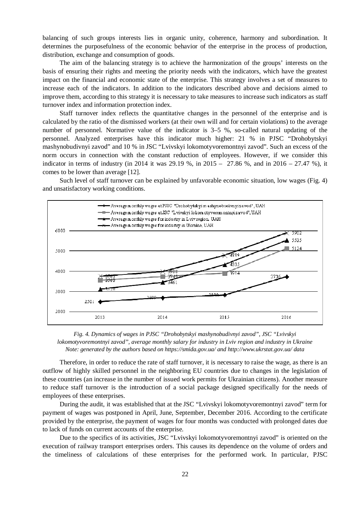balancing of such groups interests lies in organic unity, coherence, harmony and subordination. It determines the purposefulness of the economic behavior of the enterprise in the process of production, distribution, exchange and consumption of goods.

The aim of the balancing strategy is to achieve the harmonization of the groups' interests on the basis of ensuring their rights and meeting the priority needs with the indicators, which have the greatest impact on the financial and economic state of the enterprise. This strategy involves a set of measures to increase each of the indicators. In addition to the indicators described above and decisions aimed to improve them, according to this strategy it is necessary to take measures to increase such indicators as staff turnover index and information protection index.

Staff turnover index reflects the quantitative changes in the personnel of the enterprise and is calculated by the ratio of the dismissed workers (at their own will and for certain violations) to the average number of personnel. Normative value of the indicator is 3–5 %, so-called natural updating of the personnel. Analyzed enterprises have this indicator much higher: 21 % in PJSC "Drohobytskyi mashynobudivnyi zavod" and 10 % in JSC "Lvivskyi lokomotyvoremontnyi zavod". Such an excess of the norm occurs in connection with the constant reduction of employees. However, if we consider this indicator in terms of industry (in 2014 it was 29.19 %, in 2015 – 27.86 %, and in 2016 – 27.47 %), it comes to be lower than average [12].

Such level of staff turnover can be explained by unfavorable economic situation, low wages (Fig. 4) and unsatisfactory working conditions.





Therefore, in order to reduce the rate of staff turnover, it is necessary to raise the wage, as there is an outflow of highly skilled personnel in the neighboring EU countries due to changes in the legislation of these countries (an increase in the number of issued work permits for Ukrainian citizens). Another measure to reduce staff turnover is the introduction of a social package designed specifically for the needs of employees of these enterprises.

During the audit, it was established that at the JSC "Lvivskyi lokomotyvoremontnyi zavod" term for payment of wages was postponed in April, June, September, December 2016. According to the certificate provided by the enterprise, the payment of wages for four months was conducted with prolonged dates due to lack of funds on current accounts of the enterprise.

Due to the specifics of its activities, JSC "Lvivskyi lokomotyvoremontnyi zavod" is oriented on the execution of railway transport enterprises orders. This causes its dependence on the volume of orders and the timeliness of calculations of these enterprises for the performed work. In particular, PJSC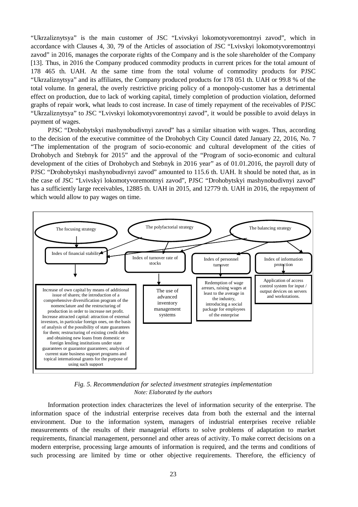"Ukrzaliznytsya" is the main customer of JSC "Lvivskyi lokomotyvoremontnyi zavod", which in accordance with Clauses 4, 30, 79 of the Articles of association of JSC "Lvivskyi lokomotyvoremontnyi zavod" in 2016, manages the corporate rights of the Company and is the sole shareholder of the Company [13]. Thus, in 2016 the Company produced commodity products in current prices for the total amount of 178 465 th. UAH. At the same time from the total volume of commodity products for PJSC "Ukrzaliznytsya" and its affiliates, the Company produced products for 178 051 th. UAH or 99.8 % of the total volume. In general, the overly restrictive pricing policy of a monopoly-customer has a detrimental effect on production, due to lack of working capital, timely completion of production violation, deformed graphs of repair work, what leads to cost increase. In case of timely repayment of the receivables of PJSC "Ukrzaliznytsya" to JSC "Lvivskyi lokomotyvoremontnyi zavod", it would be possible to avoid delays in payment of wages.

PJSC "Drohobytskyi mashynobudivnyi zavod" has a similar situation with wages. Thus, according to the decision of the executive committee of the Drohobych City Council dated January 22, 2016, No. 7 "The implementation of the program of socio-economic and cultural development of the cities of Drohobych and Stebnyk for 2015" and the approval of the "Program of socio-economic and cultural development of the cities of Drohobych and Stebnyk in 2016 year" as of 01.01.2016, the payroll duty of PJSC "Drohobytskyi mashynobudivnyi zavod" amounted to 115.6 th. UAH. It should be noted that, as in the case of JSC "Lvivskyi lokomotyvoremontnyi zavod", PJSC "Drohobytskyi mashynobudivnyi zavod" has a sufficiently large receivables, 12885 th. UAH in 2015, and 12779 th. UAH in 2016, the repayment of which would allow to pay wages on time.



*Fig. 5. Recommendation for selected investment strategies implementation Note: Elaborated by the authors* 

Information protection index characterizes the level of information security of the enterprise. The information space of the industrial enterprise receives data from both the external and the internal environment. Due to the information system, managers of industrial enterprises receive reliable measurements of the results of their managerial efforts to solve problems of adaptation to market requirements, financial management, personnel and other areas of activity. To make correct decisions on a modern enterprise, processing large amounts of information is required, and the terms and conditions of such processing are limited by time or other objective requirements. Therefore, the efficiency of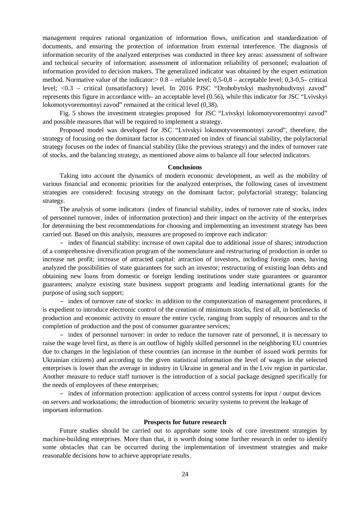management requires rational organization of information flows, unification and standardization of documents, and ensuring the protection of information from external interference. The diagnosis of information security of the analyzed enterprises was conducted in three key areas: assessment of software and technical security of information; assessment of information reliability of personnel; evaluation of information provided to decision makers. The generalized indicator was obtained by the expert estimation method. Normative value of the indicator: $> 0.8 -$  reliable level;  $0.5 - 0.8 -$  acceptable level;  $0.3 - 0.5 -$  critical level; <0.3 – critical (unsatisfactory) level. In 2016 PJSC "Drohobytskyi mashynobudivnyi zavod" represents this figure in accordance with– an acceptable level (0.56), while this indicator for JSC "Lvivskyi lokomotyvoremontnyi zavod" remained at the critical level (0,38).

Fig. 5 shows the investment strategies proposed for JSC "Lvivskyi lokomotyvoremontnyi zavod" and possible measures that will be required to implement a strategy.

Proposed model was developed for JSC "Lvivskyi lokomotyvoremontnyi zavod", therefore, the strategy of focusing on the dominant factor is concentrated on index of financial stability, the polyfactorial strategy focuses on the index of financial stability (like the previous strategy) and the index of turnover rate of stocks, and the balancing strategy, as mentioned above aims to balance all four selected indicators.

## **Conclusions**

Taking into account the dynamics of modern economic development, as well as the mobility of various financial and economic priorities for the analyzed enterprises, the following cases of investment strategies are considered: focusing strategy on the dominant factor; polyfactorial strategy; balancing strategy.

The analysis of some indicators (index of financial stability, index of turnover rate of stocks, index of personnel turnover, index of information protection) and their impact on the activity of the enterprises for determining the best recommendations for choosing and implementing an investment strategy has been carried out. Based on this analysis, measures are proposed to improve each indicator:

– index of financial stability: increase of own capital due to additional issue of shares; introduction of a comprehensive diversification program of the nomenclature and restructuring of production in order to increase net profit; increase of attracted capital: attraction of investors, including foreign ones, having analyzed the possibilities of state guarantees for such an investor; restructuring of existing loan debts and obtaining new loans from domestic or foreign lending institutions under state guarantees or guarantor guarantees; analyze existing state business support programs and leading international grants for the purpose of using such support;

– index of turnover rate of stocks: in addition to the computerization of management procedures, it is expedient to introduce electronic control of the creation of minimum stocks, first of all, in bottlenecks of production and economic activity to ensure the entire cycle, ranging from supply of resources and to the completion of production and the post of consumer guarantee services;

– index of personnel turnover: in order to reduce the turnover rate of personnel, it is necessary to raise the wage level first, as there is an outflow of highly skilled personnel in the neighboring EU countries due to changes in the legislation of these countries (an increase in the number of issued work permits for Ukrainian citizens) and according to the given statistical information the level of wages in the selected enterprises is lower than the average in industry in Ukraine in general and in the Lviv region in particular. Another measure to reduce staff turnover is the introduction of a social package designed specifically for the needs of employees of these enterprises;

– index of information protection: application of access control systems for input / output devices on servers and workstations; the introduction of biometric security systems to prevent the leakage of important information.

#### **Prospects for future research**

Future studies should be carried out to approbate some tools of core investment strategies by machine-building enterprises. More than that, it is worth doing some further research in order to identify some obstacles that can be occurred during the implementation of investment strategies and make reasonable decisions how to achieve appropriate results.